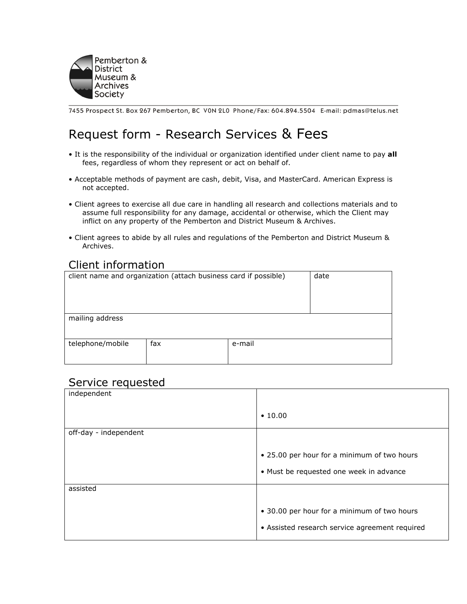

7455 Prospect St. Box 267 Pemberton, BC VON 2L0 Phone/Fax: 604.894.5504 E-mail: pdmas@telus.net

## Request form - Research Services & Fees

- It is the responsibility of the individual or organization identified under client name to pay all fees, regardless of whom they represent or act on behalf of.
- Acceptable methods of payment are cash, debit, Visa, and MasterCard. American Express is not accepted.
- Client agrees to exercise all due care in handling all research and collections materials and to assume full responsibility for any damage, accidental or otherwise, which the Client may inflict on any property of the Pemberton and District Museum & Archives.
- Client agrees to abide by all rules and regulations of the Pemberton and District Museum & Archives.

## Client information

| client name and organization (attach business card if possible)<br>date |     |        |  |  |
|-------------------------------------------------------------------------|-----|--------|--|--|
| mailing address                                                         |     |        |  |  |
| telephone/mobile                                                        | fax | e-mail |  |  |

## Service requested

| $\cdot$ 10.00                                  |  |
|------------------------------------------------|--|
|                                                |  |
|                                                |  |
|                                                |  |
|                                                |  |
| • 25.00 per hour for a minimum of two hours    |  |
|                                                |  |
| • Must be requested one week in advance        |  |
|                                                |  |
|                                                |  |
|                                                |  |
|                                                |  |
| • 30.00 per hour for a minimum of two hours    |  |
|                                                |  |
| • Assisted research service agreement required |  |
|                                                |  |
|                                                |  |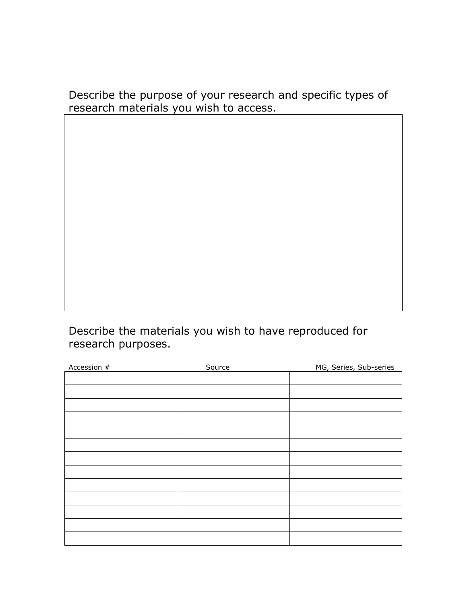Describe the purpose of your research and specific types of research materials you wish to access.

Describe the materials you wish to have reproduced for research purposes.

| Accession # | Source | MG, Series, Sub-series |
|-------------|--------|------------------------|
|             |        |                        |
|             |        |                        |
|             |        |                        |
|             |        |                        |
|             |        |                        |
|             |        |                        |
|             |        |                        |
|             |        |                        |
|             |        |                        |
|             |        |                        |
|             |        |                        |
|             |        |                        |
|             |        |                        |
|             |        |                        |